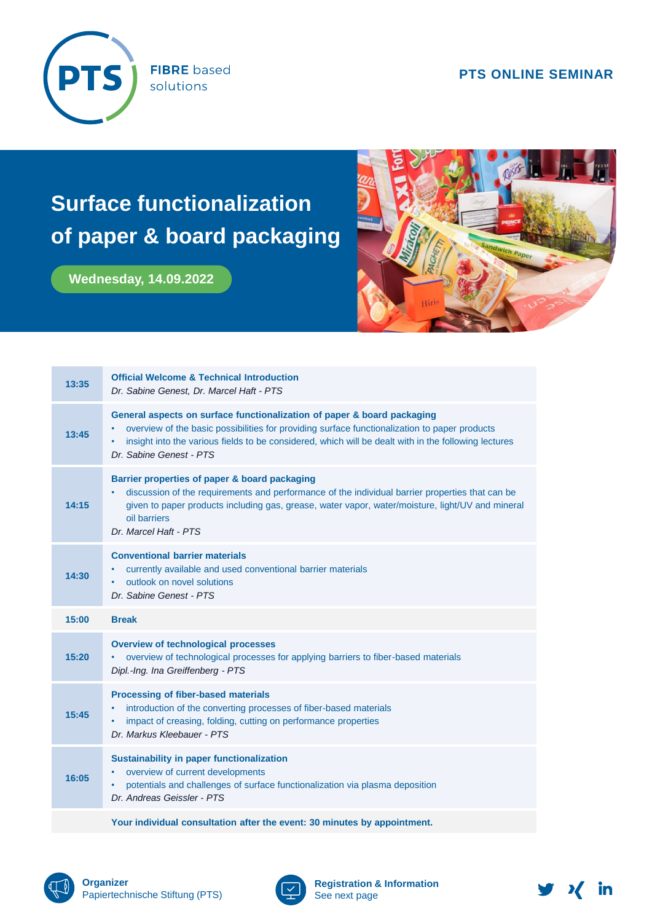

**FIBRE** based solutions

## **PTS ONLINE SEMINAR**

## **Surface functionalization of paper & board packaging**

**Wednesday, 14.09.2022**



| 13:35 | <b>Official Welcome &amp; Technical Introduction</b><br>Dr. Sabine Genest, Dr. Marcel Haft - PTS                                                                                                                                                                                                                 |
|-------|------------------------------------------------------------------------------------------------------------------------------------------------------------------------------------------------------------------------------------------------------------------------------------------------------------------|
| 13:45 | General aspects on surface functionalization of paper & board packaging<br>overview of the basic possibilities for providing surface functionalization to paper products<br>insight into the various fields to be considered, which will be dealt with in the following lectures<br>٠<br>Dr. Sabine Genest - PTS |
| 14:15 | Barrier properties of paper & board packaging<br>discussion of the requirements and performance of the individual barrier properties that can be<br>٠<br>given to paper products including gas, grease, water vapor, water/moisture, light/UV and mineral<br>oil barriers<br>Dr. Marcel Haft - PTS               |
| 14:30 | <b>Conventional barrier materials</b><br>currently available and used conventional barrier materials<br>outlook on novel solutions<br>Dr. Sabine Genest - PTS                                                                                                                                                    |
| 15:00 | <b>Break</b>                                                                                                                                                                                                                                                                                                     |
| 15:20 | <b>Overview of technological processes</b><br>overview of technological processes for applying barriers to fiber-based materials<br>٠<br>Dipl.-Ing. Ina Greiffenberg - PTS                                                                                                                                       |
| 15:45 | <b>Processing of fiber-based materials</b><br>introduction of the converting processes of fiber-based materials<br>$\bullet$<br>impact of creasing, folding, cutting on performance properties<br>٠<br>Dr. Markus Kleebauer - PTS                                                                                |
| 16:05 | <b>Sustainability in paper functionalization</b><br>overview of current developments<br>٠<br>potentials and challenges of surface functionalization via plasma deposition<br>٠<br>Dr. Andreas Geissler - PTS                                                                                                     |
|       |                                                                                                                                                                                                                                                                                                                  |





**Registration & Information** See next page